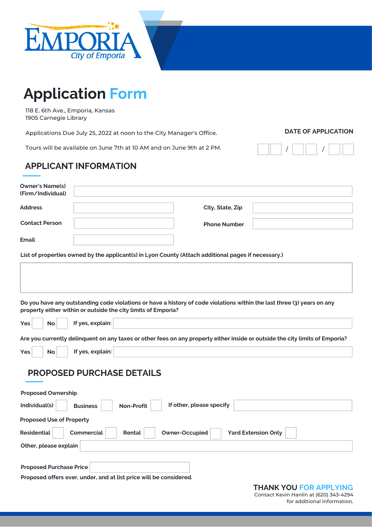

# **Application Form**

118 E. 6th Ave., Emporia, Kansas 1905 Carnegie Library

Applications Due July 25, 2022 at noon to the City Manager's Office.

**DATE OF APPLICATION**

Tours will be available on June 7th at 10 AM and on June 9th at 2 PM.

### / | | | /

### **APPLICANT INFORMATION**

| <b>Owner's Name(s)</b><br>(Firm/Individual) |                                                                                                                                                                                          |
|---------------------------------------------|------------------------------------------------------------------------------------------------------------------------------------------------------------------------------------------|
| <b>Address</b>                              | City, State, Zip                                                                                                                                                                         |
| <b>Contact Person</b>                       | <b>Phone Number</b>                                                                                                                                                                      |
| Email                                       |                                                                                                                                                                                          |
|                                             | List of properties owned by the applicant(s) in Lyon County (Attach additional pages if necessary.)                                                                                      |
|                                             |                                                                                                                                                                                          |
|                                             |                                                                                                                                                                                          |
|                                             | Do you have any outstanding code violations or have a history of code violations within the last three (3) years on any<br>property either within or outside the city limits of Emporia? |
| Yes<br>No                                   | If yes, explain:                                                                                                                                                                         |
|                                             | Are you currently delinquent on any taxes or other fees on any property either inside or outside the city limits of Emporia?                                                             |
| Yes<br><b>No</b>                            | If yes, explain:                                                                                                                                                                         |
|                                             | <b>PROPOSED PURCHASE DETAILS</b>                                                                                                                                                         |
| <b>Proposed Ownership</b>                   |                                                                                                                                                                                          |
| Individual(s)                               | If other, please specify<br><b>Non-Profit</b><br><b>Business</b>                                                                                                                         |
| <b>Proposed Use of Property</b>             |                                                                                                                                                                                          |
| <b>Residential</b>                          | <b>Commercial</b><br>Rental<br>Owner-Occupied<br><b>Yard Extension Only</b>                                                                                                              |
| Other, please explain                       |                                                                                                                                                                                          |
| <b>Proposed Purchase Price</b>              |                                                                                                                                                                                          |
|                                             | Proposed offers over, under, and at list price will be considered.                                                                                                                       |
|                                             | <b>THANK YOU FOR APPLYING</b>                                                                                                                                                            |

Contact Kevin Hanlin at (620) 343-4294 for additional information.